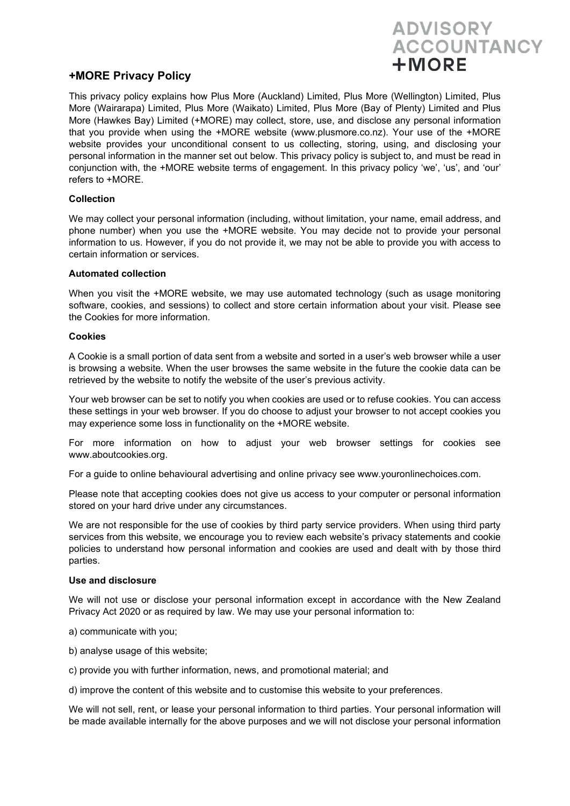# **ADVISORY ACCOUNTANCY**  $+ **MORE**$

## **+MORE Privacy Policy**

This privacy policy explains how Plus More (Auckland) Limited, Plus More (Wellington) Limited, Plus More (Wairarapa) Limited, Plus More (Waikato) Limited, Plus More (Bay of Plenty) Limited and Plus More (Hawkes Bay) Limited (+MORE) may collect, store, use, and disclose any personal information that you provide when using the +MORE website (www.plusmore.co.nz). Your use of the +MORE website provides your unconditional consent to us collecting, storing, using, and disclosing your personal information in the manner set out below. This privacy policy is subject to, and must be read in conjunction with, the +MORE website terms of engagement. In this privacy policy 'we', 'us', and 'our' refers to +MORE.

### **Collection**

We may collect your personal information (including, without limitation, your name, email address, and phone number) when you use the +MORE website. You may decide not to provide your personal information to us. However, if you do not provide it, we may not be able to provide you with access to certain information or services.

### **Automated collection**

When you visit the +MORE website, we may use automated technology (such as usage monitoring software, cookies, and sessions) to collect and store certain information about your visit. Please see the Cookies for more information.

#### **Cookies**

A Cookie is a small portion of data sent from a website and sorted in a user's web browser while a user is browsing a website. When the user browses the same website in the future the cookie data can be retrieved by the website to notify the website of the user's previous activity.

Your web browser can be set to notify you when cookies are used or to refuse cookies. You can access these settings in your web browser. If you do choose to adjust your browser to not accept cookies you may experience some loss in functionality on the +MORE website.

For more information on how to adjust your web browser settings for cookies see www.aboutcookies.org.

For a guide to online behavioural advertising and online privacy see www.youronlinechoices.com.

Please note that accepting cookies does not give us access to your computer or personal information stored on your hard drive under any circumstances.

We are not responsible for the use of cookies by third party service providers. When using third party services from this website, we encourage you to review each website's privacy statements and cookie policies to understand how personal information and cookies are used and dealt with by those third parties.

#### **Use and disclosure**

We will not use or disclose your personal information except in accordance with the New Zealand Privacy Act 2020 or as required by law. We may use your personal information to:

- a) communicate with you;
- b) analyse usage of this website;
- c) provide you with further information, news, and promotional material; and

d) improve the content of this website and to customise this website to your preferences.

We will not sell, rent, or lease your personal information to third parties. Your personal information will be made available internally for the above purposes and we will not disclose your personal information